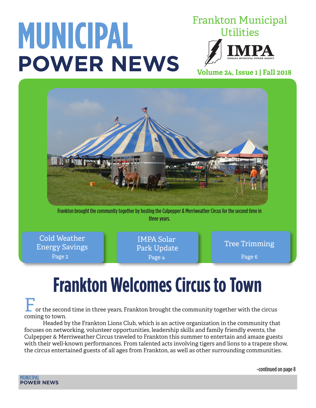# **MUNICIPAL POWER NEWS**

Frankton Municipal **Utilities** 

**Volume 24, Issue 1 | Fall 2018**



Frankton brought the community together by hosting the Culpepper & Merriweather Circus for the second time in three years.

Page 2 Cold Weather Tree Trimming Energy Savings

IMPA Solar Park Update Page 4

Page 6

## **Frankton Welcomes Circus to Town**

or the second time in three years, Frankton brought the community together with the circus coming to town.

Headed by the Frankton Lions Club, which is an active organization in the community that focuses on networking, volunteer opportunities, leadership skills and family friendly events, the Culpepper & Merriweather Circus traveled to Frankton this summer to entertain and amaze guests with their well-known performances. From talented acts involving tigers and lions to a trapeze show, the circus entertained guests of all ages from Frankton, as well as other surrounding communities.

-continued on page 8

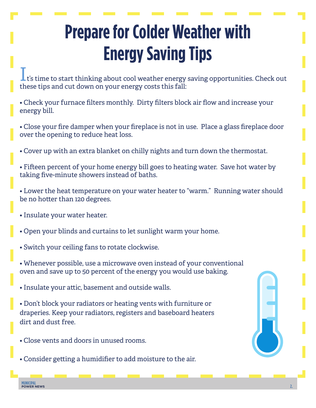## **Prepare for Colder Weather with Energy Saving Tips**

 $\blacksquare$  t's time to start thinking about cool weather energy saving opportunities. Check out these tips and cut down on your energy costs this fall:

- Check your furnace filters monthly. Dirty filters block air flow and increase your energy bill.
- Close your fire damper when your fireplace is not in use. Place a glass fireplace door over the opening to reduce heat loss.
- Cover up with an extra blanket on chilly nights and turn down the thermostat.
- Fifteen percent of your home energy bill goes to heating water. Save hot water by taking five-minute showers instead of baths.
- Lower the heat temperature on your water heater to "warm." Running water should be no hotter than 120 degrees.
- Insulate your water heater.
- Open your blinds and curtains to let sunlight warm your home.
- Switch your ceiling fans to rotate clockwise.
- Whenever possible, use a microwave oven instead of your conventional oven and save up to 50 percent of the energy you would use baking.
- Insulate your attic, basement and outside walls.
- Don't block your radiators or heating vents with furniture or draperies. Keep your radiators, registers and baseboard heaters dirt and dust free.
- Close vents and doors in unused rooms.
- Consider getting a humidifier to add moisture to the air.

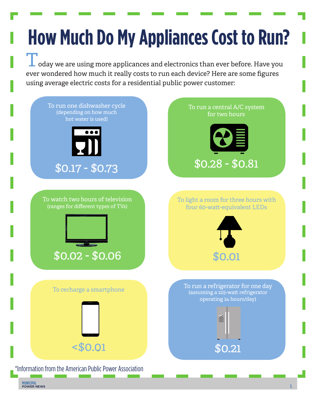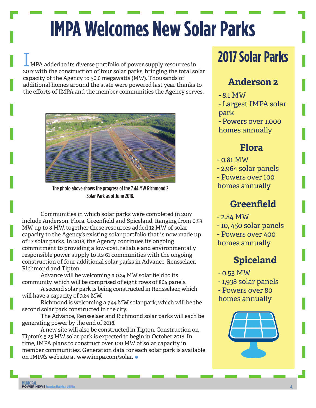# **IMPA Welcomes New Solar Parks**

IMPA added to its diverse portfolio of power supply resources in 2017 with the construction of four solar parks, bringing the total solar capacity of the Agency to 36.6 megawatts (MW). Thousands of additional homes around the state were powered last year thanks to the efforts of IMPA and the member communities the Agency serves.



The photo above shows the progress of the 7.44 MW Richmond 2 Solar Park as of June 2018.

Communities in which solar parks were completed in 2017 include Anderson, Flora, Greenfield and Spiceland. Ranging from 0.53 MW up to 8 MW, together these resources added 12 MW of solar capacity to the Agency's existing solar portfolio that is now made up of 17 solar parks. In 2018, the Agency continues its ongoing commitment to providing a low-cost, reliable and environmentally responsible power supply to its 61 communities with the ongoing construction of four additional solar parks in Advance, Rensselaer, Richmond and Tipton.

Advance will be welcoming a 0.24 MW solar field to its community, which will be comprised of eight rows of 864 panels.

A second solar park is being constructed in Rensselaer, which will have a capacity of 3.84 MW.

Richmond is welcoming a 7.44 MW solar park, which will be the second solar park constructed in the city.

The Advance, Rensselaer and Richmond solar parks will each be generating power by the end of 2018.

A new site will also be constructed in Tipton. Construction on Tipton's 5.25 MW solar park is expected to begin in October 2018. In time, IMPA plans to construct over 100 MW of solar capacity in member communities. Generation data for each solar park is available on IMPA's website at www.impa.com/solar.  $\bullet$ 

## **2017 Solar Parks**

### **Anderson 2**

- 8.1 MW

- Largest IMPA solar park

- Powers over 1,000 homes annually

### **Flora**

- 0.81 MW

- 2,964 solar panels

- Powers over 100

homes annually

### **Greenfield**

 $-2.84$  MW

- 10, 450 solar panels

- Powers over 400 homes annually

## **Spiceland**

- 0.53 MW - 1,938 solar panels - Powers over 80 homes annually

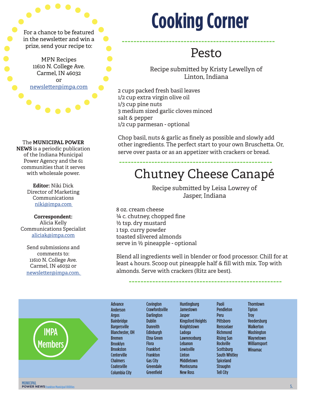in the newsletter and win a prize, send your recipe to:

> MPN Recipes 11610 N. College Ave. Carmel, IN 46032 or newsletter@impa.com

#### The **MUNICIPAL POWER**

**NEWS** is a periodic publication of the Indiana Municipal Power Agency and the 61 communities that it serves with wholesale power.

> **Editor:** Niki Dick Director of Marketing Communications niki@impa.com

#### **Correspondent:**

Alicia Kelly Communications Specialist aliciak@impa.com

Send submissions and comments to: 11610 N. College Ave. Carmel, IN 46032 or newsletter@impa.com.

# **Cooking Corner**

----------------------------------------------------

## Pesto

Recipe submitted by Kristy Lewellyn of Linton, Indiana

2 cups packed fresh basil leaves 1/2 cup extra virgin olive oil 1/3 cup pine nuts 3 medium sized garlic cloves minced salt & pepper 1/2 cup parmesan - optional

Chop basil, nuts & garlic as finely as possible and slowly add other ingredients. The perfect start to your own Bruschetta. Or, serve over pasta or as an appetizer with crackers or bread.

----------------------------------------------------

## Chutney Cheese Canapé

Recipe submitted by Leisa Lowrey of Jasper, Indiana

8 oz. cream cheese ¼ c. chutney, chopped fine ½ tsp. dry mustard 1 tsp. curry powder toasted slivered almonds serve in ½ pineapple - optional

Blend all ingredients well in blender or food processor. Chill for at least 4 hours. Scoop out pineapple half & fill with mix. Top with almonds. Serve with crackers (Ritz are best).

----------------------------------------------------

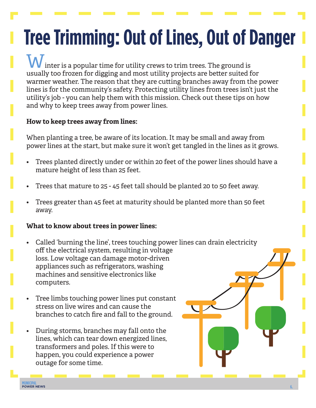# **Tree Trimming: Out of Lines, Out of Danger**

W inter is a popular time for utility crews to trim trees. The ground is usually too frozen for digging and most utility projects are better suited for warmer weather. The reason that they are cutting branches away from the power lines is for the community's safety. Protecting utility lines from trees isn't just the utility's job - you can help them with this mission. Check out these tips on how and why to keep trees away from power lines.

#### **How to keep trees away from lines:**

When planting a tree, be aware of its location. It may be small and away from power lines at the start, but make sure it won't get tangled in the lines as it grows.

- Trees planted directly under or within 20 feet of the power lines should have a mature height of less than 25 feet.
- Trees that mature to 25 45 feet tall should be planted 20 to 50 feet away.
- Trees greater than 45 feet at maturity should be planted more than 50 feet away.

#### **What to know about trees in power lines:**

- Called 'burning the line', trees touching power lines can drain electricity off the electrical system, resulting in voltage loss. Low voltage can damage motor-driven appliances such as refrigerators, washing machines and sensitive electronics like computers.
- Tree limbs touching power lines put constant stress on live wires and can cause the branches to catch fire and fall to the ground.
- During storms, branches may fall onto the lines, which can tear down energized lines, transformers and poles. If this were to happen, you could experience a power outage for some time.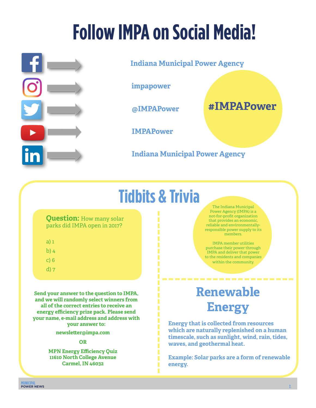# **Follow IMPA on Social Media!**



**Indiana Municipal Power Agency**

**impapower**

**@IMPAPower** 

**#IMPAPower**

**IMPAPower**

**Indiana Municipal Power Agency**

## **Tidbits & Trivia**

--------------------------

#### **Question:** How many solar parks did IMPA open in 2017?

- a) 1
- b) 4
- c) 6
- d) 7

**Send your answer to the question to IMPA, and we will randomly select winners from all of the correct entries to receive an energy efficiency prize pack. Please send your name, e-mail address and address with your answer to:** 

**newsletter@impa.com**

#### **OR**

**MPN Energy Efficiency Quiz 11610 North College Avenue Carmel, IN 46032** 

The Indiana Municipal Power Agency (IMPA) is a not-for-profit organization that provides an economic, reliable and environmentallyresponsible power supply to its members.

IMPA member utilities purchase their power through IMPA and deliver that power to the residents and companies within the community.

## **Renewable Energy**

**Energy that is collected from resources which are naturally replenished on a human timescale, such as sunlight, wind, rain, tides, waves, and geothermal heat.**

**Example: Solar parks are a form of renewable energy.**